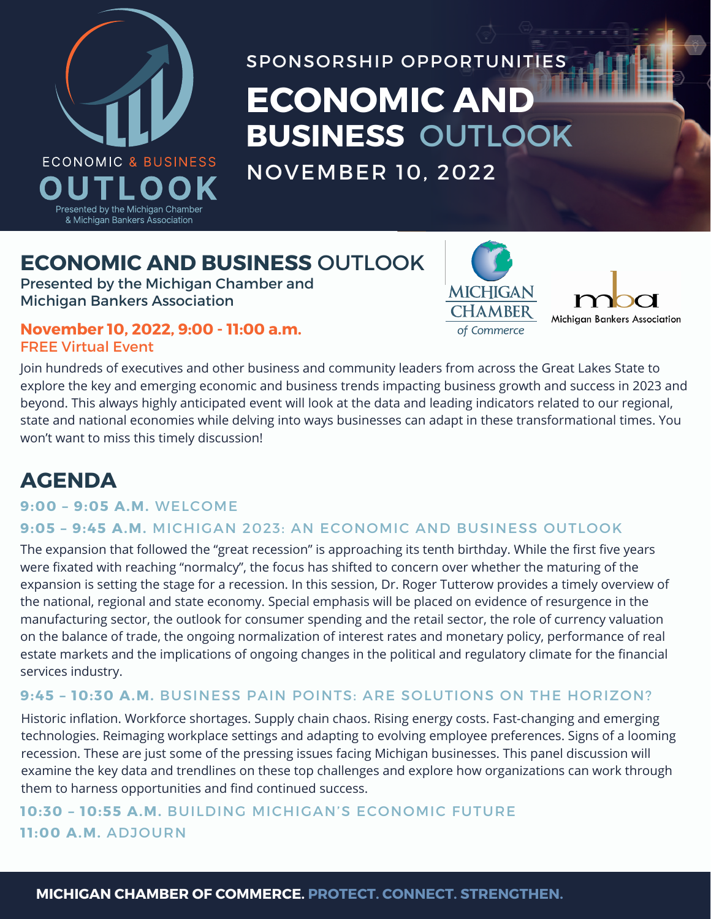

# **DESCRIPTION** SPONSORSHIP OPPORTUNITIES **ECONOMIC AND BUSINESS** OUTLOOK

**MICHIGAN CHAMBER** 

Michigan Bankers Association

NOVEMBER 10, 2022

# **ECONOMIC AND BUSINESS** OUTLOOK

Presented by the Michigan Chamber and Michigan Bankers Association

### **November 10, 2022, 9:00 - 11:00 a.m.** FREE Virtual Event

Join hundreds of executives and other business and community leaders from across the Great Lakes State to explore the key and emerging economic and business trends impacting business growth and success in 2023 and beyond. This always highly anticipated event will look at the data and leading indicators related to our regional, state and national economies while delving into ways businesses can adapt in these transformational times. You won't want to miss this timely discussion!

# **AGENDA**

## **9:00 – 9:05 A.M.** WELCOME

## **9:05 – 9:45 A.M.** MICHIGAN 2023: AN ECONOMIC AND BUSINESS OUTLOOK

The expansion that followed the "great recession" is approaching its tenth birthday. While the first five years were fixated with reaching "normalcy", the focus has shifted to concern over whether the maturing of the expansion is setting the stage for a recession. In this session, Dr. Roger Tutterow provides a timely overview of the national, regional and state economy. Special emphasis will be placed on evidence of resurgence in the manufacturing sector, the outlook for consumer spending and the retail sector, the role of currency valuation on the balance of trade, the ongoing normalization of interest rates and monetary policy, performance of real estate markets and the implications of ongoing changes in the political and regulatory climate for the financial services industry.

## **9:45 – 10:30 A.M.** BUSINESS PAIN POINTS: ARE SOLUTIONS ON THE HORIZON?

Historic inflation. Workforce shortages. Supply chain chaos. Rising energy costs. Fast-changing and emerging technologies. Reimaging workplace settings and adapting to evolving employee preferences. Signs of a looming recession. These are just some of the pressing issues facing Michigan businesses. This panel discussion will examine the key data and trendlines on these top challenges and explore how organizations can work through them to harness opportunities and find continued success.

## **10:30 – 10:55 A.M.** BUILDING MICHIGAN'S ECONOMIC FUTURE **11:00 A.M.** ADJOURN